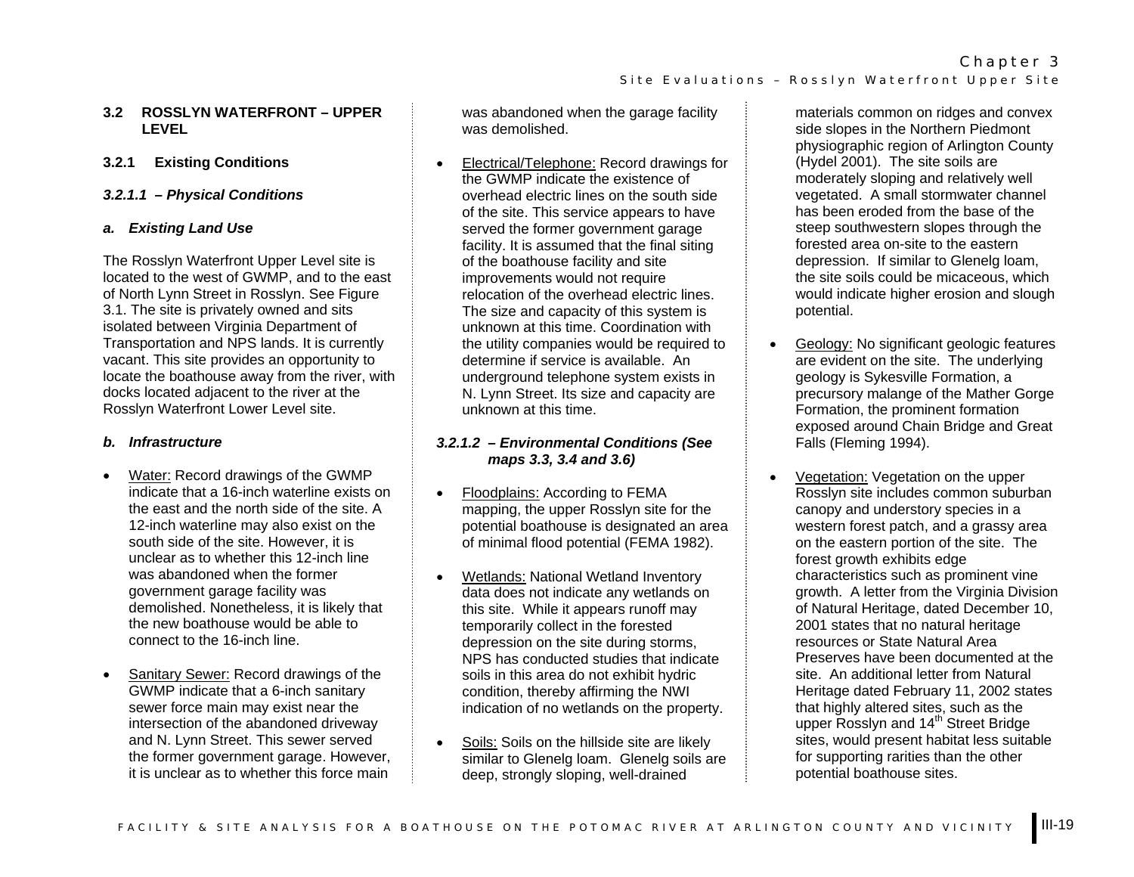### **3.2 ROSSLYN WATERFRONT – UPPER LEVEL**

# **3.2.1 Existing Conditions**

### *3.2.1.1 – Physical Conditions*

### *a. Existing Land Use*

The Rosslyn Waterfront Upper Level site is located to the west of GWMP, and to the east of North Lynn Street in Rosslyn. See Figure 3.1. The site is privately owned and sits isolated between Virginia Department of Transportation and NPS lands. It is currently vacant. This site provides an opportunity to locate the boathouse away from the river, with docks located adjacent to the river at the Rosslyn Waterfront Lower Level site.

### *b. Infrastructure*

- • Water: Record drawings of the GWMP indicate that a 16-inch waterline exists on the east and the north side of the site. A 12-inch waterline may also exist on the south side of the site. However, it is unclear as to whether this 12-inch line was abandoned when the former government garage facility was demolished. Nonetheless, it is likely that the new boathouse would be able to connect to the 16-inch line.
- • Sanitary Sewer: Record drawings of the GWMP indicate that a 6-inch sanitary sewer force main may exist near the intersection of the abandoned driveway and N. Lynn Street. This sewer served the former government garage. However, it is unclear as to whether this force main

was abandoned when the garage facility was demolished.

• Electrical/Telephone: Record drawings for the GWMP indicate the existence of overhead electric lines on the south side of the site. This service appears to have served the former government garage facility. It is assumed that the final siting of the boathouse facility and site improvements would not require relocation of the overhead electric lines. The size and capacity of this system is unknown at this time. Coordination with the utility companies would be required to determine if service is available. An underground telephone system exists in N. Lynn Street. Its size and capacity are unknown at this time.

# *3.2.1.2 – Environmental Conditions (See maps 3.3, 3.4 and 3.6)*

- • Floodplains: According to FEMA mapping, the upper Rosslyn site for the potential boathouse is designated an area of minimal flood potential (FEMA 1982).
- • Wetlands: National Wetland Inventory data does not indicate any wetlands on this site. While it appears runoff may temporarily collect in the forested depression on the site during storms, NPS has conducted studies that indicate soils in this area do not exhibit hydric condition, thereby affirming the NWI indication of no wetlands on the property.
- • Soils: Soils on the hillside site are likely similar to Glenelg loam. Glenelg soils are deep, strongly sloping, well-drained

materials common on ridges and convex side slopes in the Northern Piedmont physiographic region of Arlington County (Hydel 2001). The site soils are moderately sloping and relatively well vegetated. A small stormwater channel has been eroded from the base of the steep southwestern slopes through the forested area on-site to the eastern depression. If similar to Glenelg loam, the site soils could be micaceous, which would indicate higher erosion and slough potential.

- • Geology: No significant geologic features are evident on the site. The underlying geology is Sykesville Formation, a precursory malange of the Mather Gorge Formation, the prominent formation exposed around Chain Bridge and Great Falls (Fleming 1994).
- • Vegetation: Vegetation on the upper Rosslyn site includes common suburban canopy and understory species in a western forest patch, and a grassy area on the eastern portion of the site. The forest growth exhibits edge characteristics such as prominent vine growth. A letter from the Virginia Division of Natural Heritage, dated December 10, 2001 states that no natural heritage resources or State Natural Area Preserves have been documented at the site. An additional letter from Natural Heritage dated February 11, 2002 states that highly altered sites, such as the upper Rosslyn and 14<sup>th</sup> Street Bridge sites, would present habitat less suitable for supporting rarities than the other potential boathouse sites.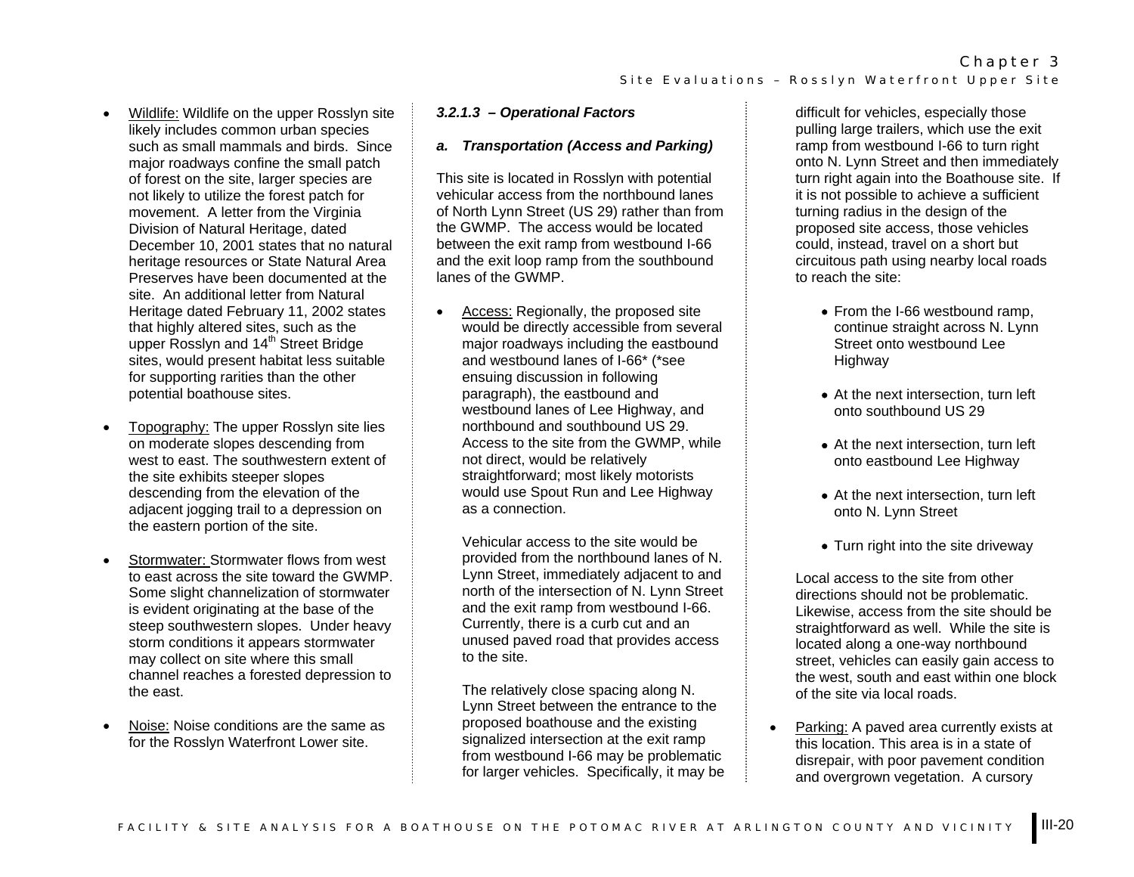- • Wildlife: Wildlife on the upper Rosslyn site likely includes common urban species such as small mammals and birds. Since major roadways confine the small patch of forest on the site, larger species are not likely to utilize the forest patch for movement. A letter from the Virginia Division of Natural Heritage, dated December 10, 2001 states that no natural heritage resources or State Natural Area Preserves have been documented at the site. An additional letter from Natural Heritage dated February 11, 2002 states that highly altered sites, such as the upper Rosslyn and 14<sup>th</sup> Street Bridge sites, would present habitat less suitable for supporting rarities than the other potential boathouse sites.
- • Topography: The upper Rosslyn site lies on moderate slopes descending from west to east. The southwestern extent of the site exhibits steeper slopes descending from the elevation of the adjacent jogging trail to a depression on the eastern portion of the site.
- • Stormwater: Stormwater flows from west to east across the site toward the GWMP. Some slight channelization of stormwater is evident originating at the base of the steep southwestern slopes. Under heavy storm conditions it appears stormwater may collect on site where this small channel reaches a forested depression to the east.
- • Noise: Noise conditions are the same as for the Rosslyn Waterfront Lower site.

# *3.2.1.3 – Operational Factors*

#### *a. Transportation (Access and Parking)*

This site is located in Rosslyn with potential vehicular access from the northbound lanes of North Lynn Street (US 29) rather than from the GWMP. The access would be located between the exit ramp from westbound I-66 and the exit loop ramp from the southbound lanes of the GWMP.

• Access: Regionally, the proposed site would be directly accessible from several major roadways including the eastbound and westbound lanes of I-66\* (\*see ensuing discussion in following paragraph), the eastbound and westbound lanes of Lee Highway, and northbound and southbound US 29. Access to the site from the GWMP, while not direct, would be relatively straightforward; most likely motorists would use Spout Run and Lee Highway as a connection.

Vehicular access to the site would be provided from the northbound lanes of N. Lynn Street, immediately adjacent to and north of the intersection of N. Lynn Street and the exit ramp from westbound I-66. Currently, there is a curb cut and an unused paved road that provides access to the site.

The relatively close spacing along N. Lynn Street between the entrance to the proposed boathouse and the existing signalized intersection at the exit ramp from westbound I-66 may be problematic for larger vehicles. Specifically, it may be

difficult for vehicles, especially those pulling large trailers, which use the exit ramp from westbound I-66 to turn right onto N. Lynn Street and then immediately turn right again into the Boathouse site. If it is not possible to achieve a sufficient turning radius in the design of the proposed site access, those vehicles could, instead, travel on a short but circuitous path using nearby local roads to reach the site:

- From the I-66 westbound ramp, continue straight across N. Lynn Street onto westbound Lee **Highway**
- At the next intersection, turn left onto southbound US 29
- At the next intersection, turn left onto eastbound Lee Highway
- At the next intersection, turn left onto N. Lynn Street
- Turn right into the site driveway

Local access to the site from other directions should not be problematic. Likewise, access from the site should be straightforward as well. While the site is located along a one-way northbound street, vehicles can easily gain access to the west, south and east within one block of the site via local roads.

• Parking: A paved area currently exists at this location. This area is in a state of disrepair, with poor pavement condition and overgrown vegetation. A cursory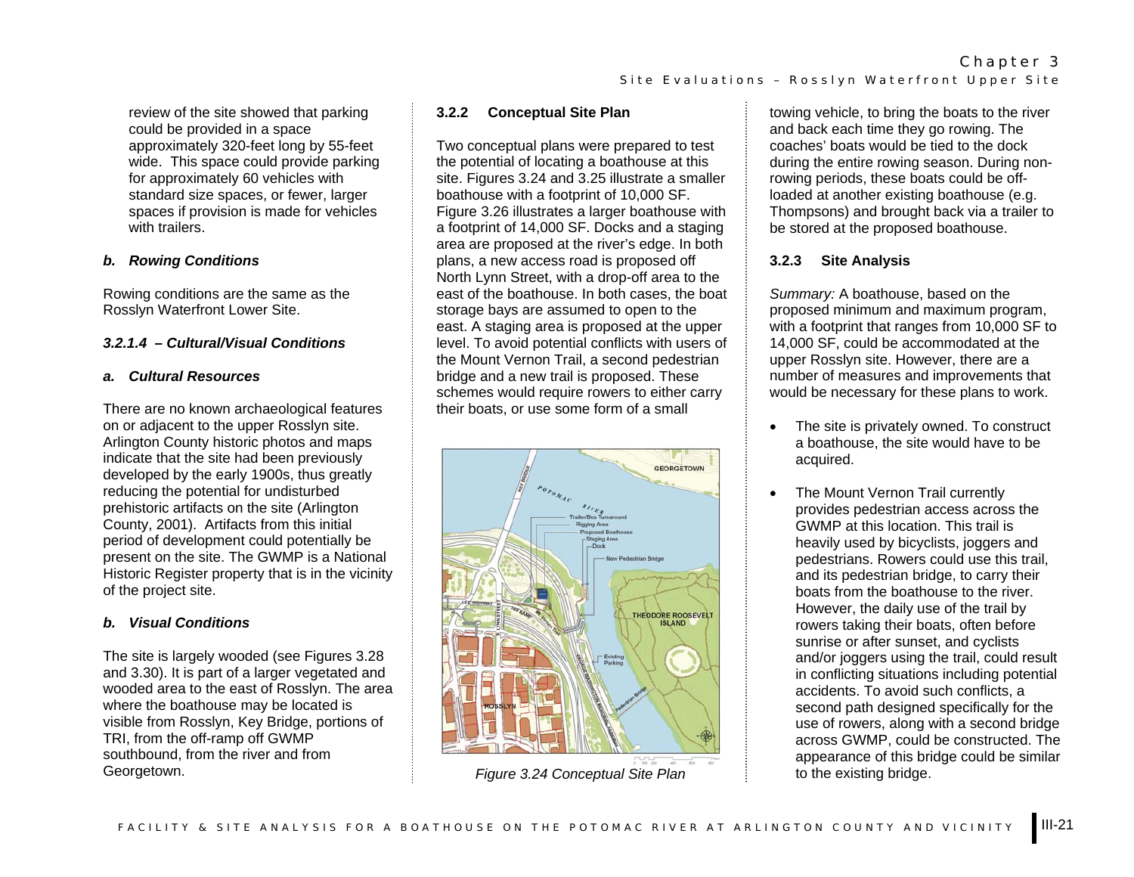review of the site showed that parking could be provided in a space approximately 320-feet long by 55-feet wide. This space could provide parking for approximately 60 vehicles with standard size spaces, or fewer, larger spaces if provision is made for vehicles with trailers.

# *b. Rowing Conditions*

Rowing conditions are the same as the Rosslyn Waterfront Lower Site.

# *3.2.1.4 – Cultural/Visual Conditions*

### *a. Cultural Resources*

There are no known archaeological features on or adjacent to the upper Rosslyn site. Arlington County historic photos and maps indicate that the site had been previously developed by the early 1900s, thus greatly reducing the potential for undisturbed prehistoric artifacts on the site (Arlington County, 2001). Artifacts from this initial period of development could potentially be present on the site. The GWMP is a National Historic Register property that is in the vicinity of the project site.

# *b. Visual Conditions*

The site is largely wooded (see Figures 3.28 and 3.30). It is part of a larger vegetated and wooded area to the east of Rosslyn. The area where the boathouse may be located is visible from Rosslyn, Key Bridge, portions of TRI, from the off-ramp off GWMP southbound, from the river and from Georgetown.

## **3.2.2 Conceptual Site Plan**

Two conceptual plans were prepared to test the potential of locating a boathouse at this site. Figures 3.24 and 3.25 illustrate a smaller boathouse with a footprint of 10,000 SF. Figure 3.26 illustrates a larger boathouse with a footprint of 14,000 SF. Docks and a staging area are proposed at the river's edge. In both plans, a new access road is proposed off North Lynn Street, with a drop-off area to the east of the boathouse. In both cases, the boat storage bays are assumed to open to the east. A staging area is proposed at the upper level. To avoid potential conflicts with users of the Mount Vernon Trail, a second pedestrian bridge and a new trail is proposed. These schemes would require rowers to either carry their boats, or use some form of a small



*Figure 3.24 Conceptual Site Plan*

towing vehicle, to bring the boats to the river and back each time they go rowing. The coaches' boats would be tied to the dock during the entire rowing season. During nonrowing periods, these boats could be offloaded at another existing boathouse (e.g. Thompsons) and brought back via a trailer to be stored at the proposed boathouse.

# **3.2.3 Site Analysis**

*Summary:* A boathouse, based on the proposed minimum and maximum program, with a footprint that ranges from 10,000 SF to 14,000 SF, could be accommodated at the upper Rosslyn site. However, there are a number of measures and improvements that would be necessary for these plans to work.

- The site is privately owned. To construct a boathouse, the site would have to be acquired.
- The Mount Vernon Trail currently provides pedestrian access across the GWMP at this location. This trail is heavily used by bicyclists, joggers and pedestrians. Rowers could use this trail, and its pedestrian bridge, to carry their boats from the boathouse to the river. However, the daily use of the trail by rowers taking their boats, often before sunrise or after sunset, and cyclists and/or joggers using the trail, could result in conflicting situations including potential accidents. To avoid such conflicts, a second path designed specifically for the use of rowers, along with a second bridge across GWMP, could be constructed. The appearance of this bridge could be similar to the existing bridge.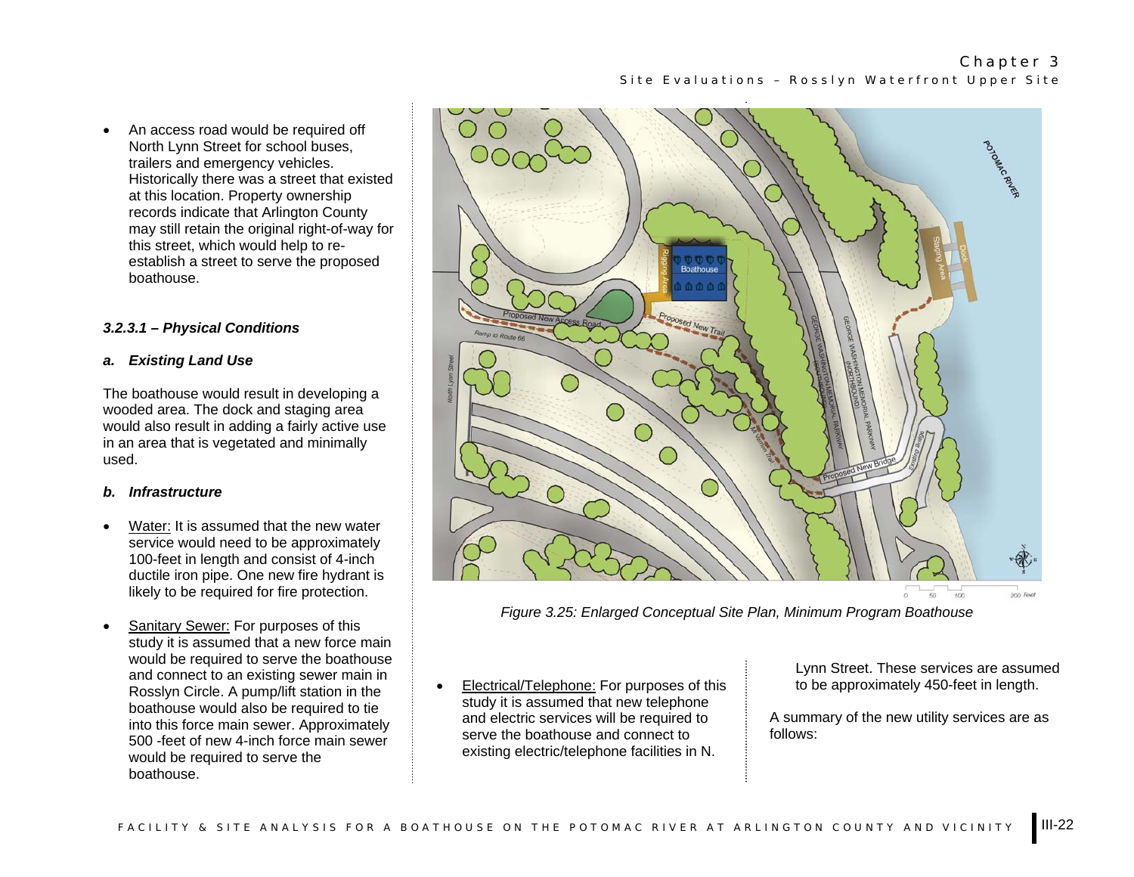• An access road would be required off North Lynn Street for school buses, trailers and emergency vehicles. Historically there was a street that existed at this location. Property ownership records indicate that Arlington County may still retain the original right-of-way for this street, which would help to reestablish a street to serve the proposed boathouse.

### *3.2.3.1 – Physical Conditions*

### *a. Existing Land Use*

The boathouse would result in developing a wooded area. The dock and staging area would also result in adding a fairly active use in an area that is vegetated and minimally used.

### *b. Infrastructure*

- • Water: It is assumed that the new water service would need to be approximately 100-feet in length and consist of 4-inch ductile iron pipe. One new fire hydrant is likely to be required for fire protection.
- • Sanitary Sewer: For purposes of this study it is assumed that a new force main would be required to serve the boathouse and connect to an existing sewer main in Rosslyn Circle. A pump/lift station in the boathouse would also be required to tie into this force main sewer. Approximately 500 -feet of new 4-inch force main sewer would be required to serve the boathouse.



*Figure 3.25: Enlarged Conceptual Site Plan, Minimum Program Boathouse* 

• Electrical/Telephone: For purposes of this study it is assumed that new telephone and electric services will be required to serve the boathouse and connect to existing electric/telephone facilities in N.

Lynn Street. These services are assumed to be approximately 450-feet in length.

A summary of the new utility services are as follows: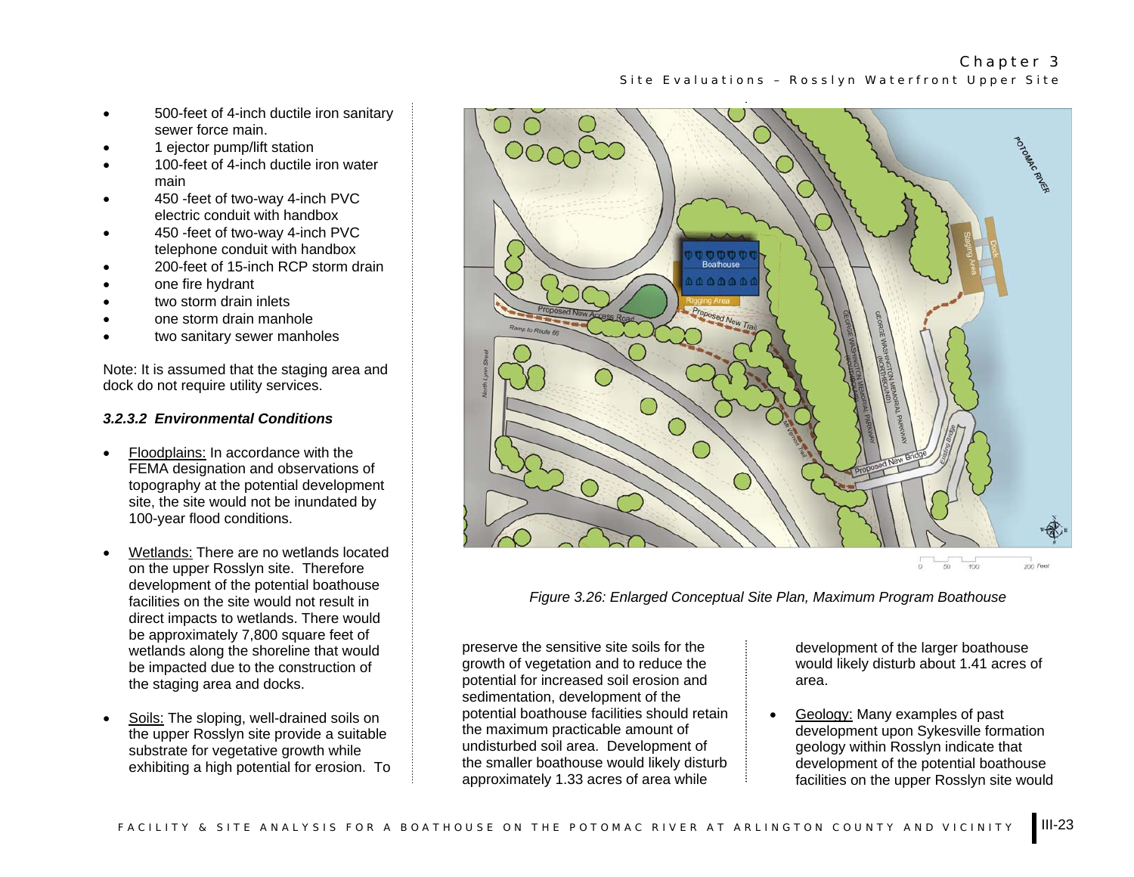- 500-feet of 4-inch ductile iron sanitary sewer force main.
- 1 ejector pump/lift station
- 100-feet of 4-inch ductile iron water main
- 450 -feet of two-way 4-inch PVC electric conduit with handbox
- 450 -feet of two-way 4-inch PVC telephone conduit with handbox
- 200-feet of 15-inch RCP storm drain
- one fire hydrant
- two storm drain inlets
- one storm drain manhole
- two sanitary sewer manholes

Note: It is assumed that the staging area and dock do not require utility services.

### *3.2.3.2 Environmental Conditions*

- • Floodplains: In accordance with the FEMA designation and observations of topography at the potential development site, the site would not be inundated by 100-year flood conditions.
- • Wetlands: There are no wetlands located on the upper Rosslyn site. Therefore development of the potential boathouse facilities on the site would not result in direct impacts to wetlands. There would be approximately 7,800 square feet of wetlands along the shoreline that would be impacted due to the construction of the staging area and docks.
- • Soils: The sloping, well-drained soils on the upper Rosslyn site provide a suitable substrate for vegetative growth while exhibiting a high potential for erosion. To



*Figure 3.26: Enlarged Conceptual Site Plan, Maximum Program Boathouse* 

preserve the sensitive site soils for the growth of vegetation and to reduce the potential for increased soil erosion and sedimentation, development of the potential boathouse facilities should retain the maximum practicable amount of undisturbed soil area. Development of the smaller boathouse would likely disturb approximately 1.33 acres of area while

development of the larger boathouse would likely disturb about 1.41 acres of area.

• Geology: Many examples of past development upon Sykesville formation geology within Rosslyn indicate that development of the potential boathouse facilities on the upper Rosslyn site would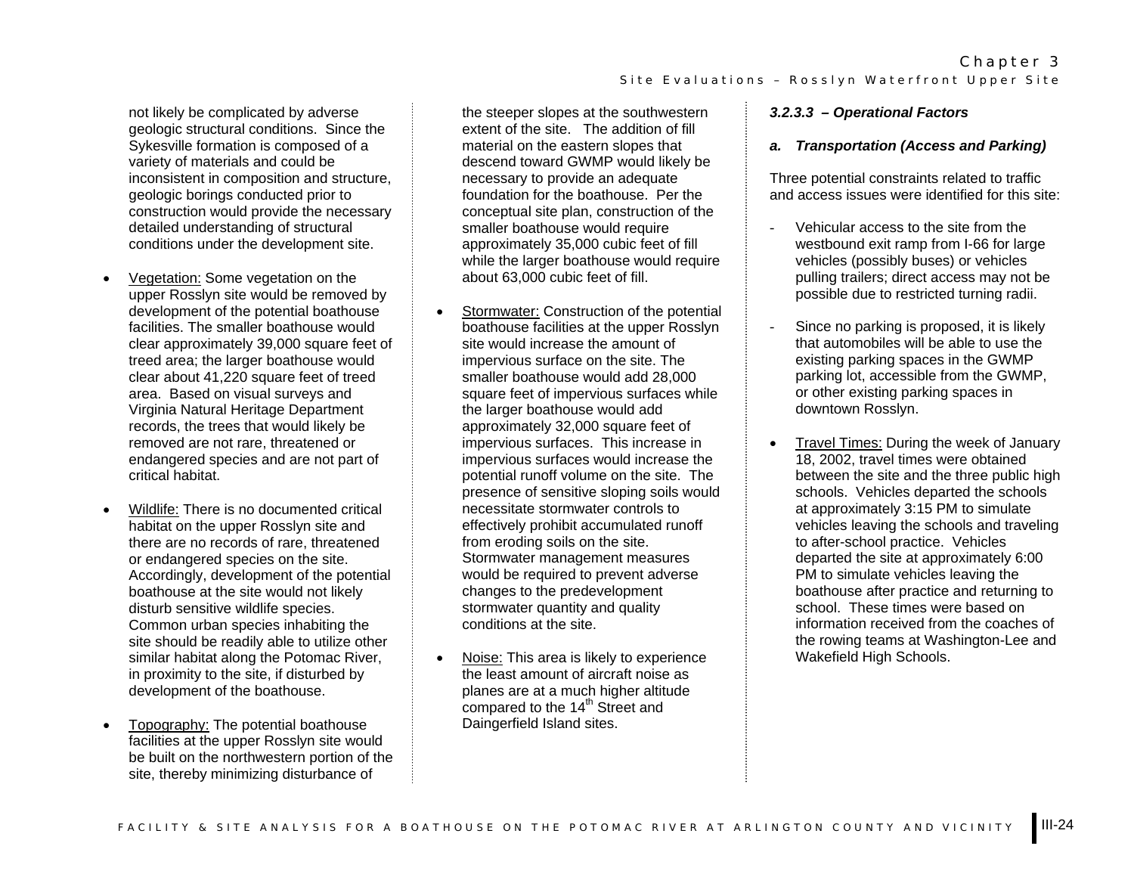FACILITY & SITE ANALYSIS FOR A BOATHOUSE ON THE POTOMAC RIVER AT ARLINGTON COUNTY AND VICINITY  $\,$  III-24  $\,$ 

not likely be complicated by adverse geologic structural conditions. Since the Sykesville formation is composed of a variety of materials and could be inconsistent in composition and structure, geologic borings conducted prior to construction would provide the necessary detailed understanding of structural conditions under the development site.

- • Vegetation: Some vegetation on the upper Rosslyn site would be removed by development of the potential boathouse facilities. The smaller boathouse would clear approximately 39,000 square feet of treed area; the larger boathouse would clear about 41,220 square feet of treed area. Based on visual surveys and Virginia Natural Heritage Department records, the trees that would likely be removed are not rare, threatened or endangered species and are not part of critical habitat.
- Wildlife: There is no documented critical habitat on the upper Rosslyn site and there are no records of rare, threatened or endangered species on the site. Accordingly, development of the potential boathouse at the site would not likely disturb sensitive wildlife species. Common urban species inhabiting the site should be readily able to utilize other similar habitat along the Potomac River, in proximity to the site, if disturbed by development of the boathouse.
- Topography: The potential boathouse facilities at the upper Rosslyn site would be built on the northwestern portion of the site, thereby minimizing disturbance of

the steeper slopes at the southwestern extent of the site. The addition of fill material on the eastern slopes that descend toward GWMP would likely be necessary to provide an adequate foundation for the boathouse. Per the conceptual site plan, construction of the smaller boathouse would require approximately 35,000 cubic feet of fill while the larger boathouse would require about 63,000 cubic feet of fill.

- Stormwater: Construction of the potential boathouse facilities at the upper Rosslyn site would increase the amount of impervious surface on the site. The smaller boathouse would add 28,000 square feet of impervious surfaces while the larger boathouse would add approximately 32,000 square feet of impervious surfaces. This increase in impervious surfaces would increase the potential runoff volume on the site. The presence of sensitive sloping soils would necessitate stormwater controls to effectively prohibit accumulated runoff from eroding soils on the site. Stormwater management measures would be required to prevent adverse changes to the predevelopment stormwater quantity and quality conditions at the site.
- Noise: This area is likely to experience the least amount of aircraft noise as planes are at a much higher altitude compared to the 14<sup>th</sup> Street and Daingerfield Island sites.

# *3.2.3.3 – Operational Factors*

#### *a. Transportation (Access and Parking)*

Three potential constraints related to traffic and access issues were identified for this site:

- Vehicular access to the site from the westbound exit ramp from I-66 for large vehicles (possibly buses) or vehicles pulling trailers; direct access may not be possible due to restricted turning radii.
- Since no parking is proposed, it is likely that automobiles will be able to use the existing parking spaces in the GWMP parking lot, accessible from the GWMP, or other existing parking spaces in downtown Rosslyn.
- Travel Times: During the week of January 18, 2002, travel times were obtained between the site and the three public high schools. Vehicles departed the schools at approximately 3:15 PM to simulate vehicles leaving the schools and traveling to after-school practice. Vehicles departed the site at approximately 6:00 PM to simulate vehicles leaving the boathouse after practice and returning to school. These times were based on information received from the coaches of the rowing teams at Washington-Lee and Wakefield High Schools.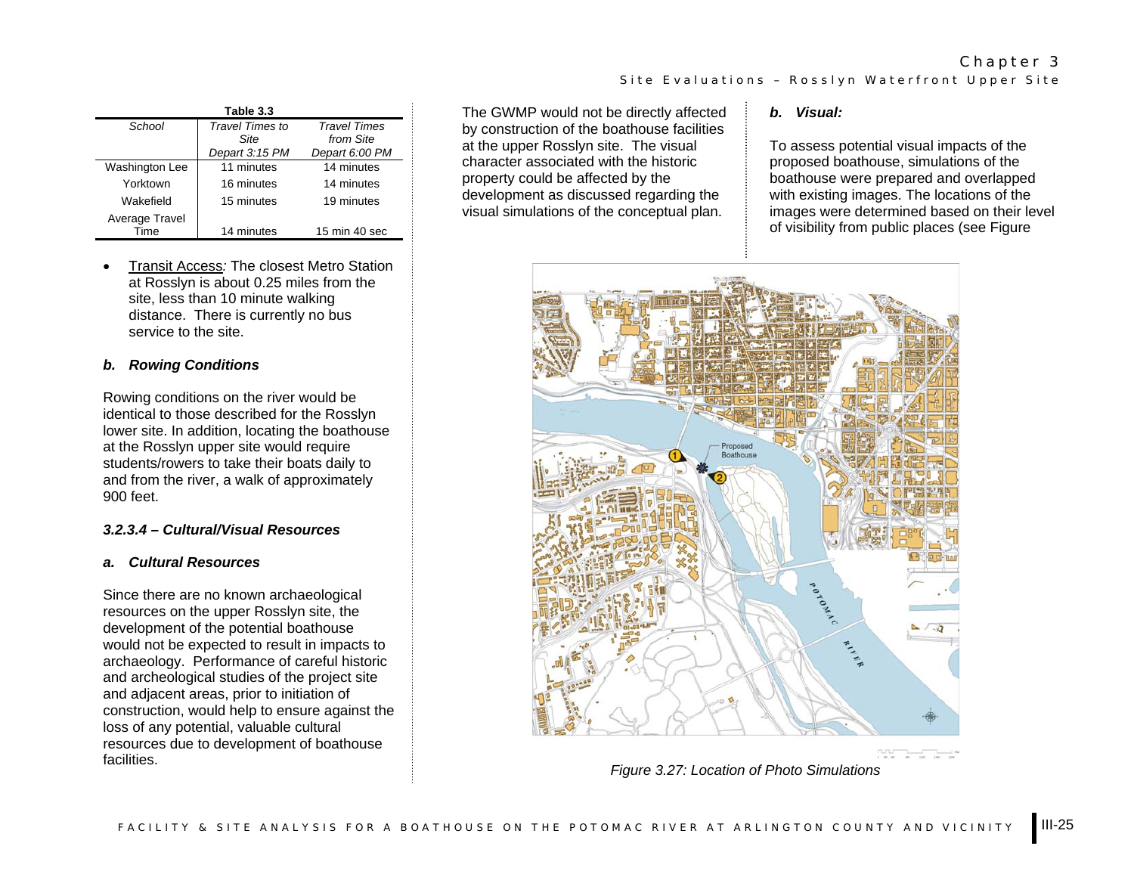| Table 3.3      |                         |                                  |  |
|----------------|-------------------------|----------------------------------|--|
| School         | Travel Times to<br>Site | <b>Travel Times</b><br>from Site |  |
|                | Depart 3:15 PM          | Depart 6:00 PM                   |  |
| Washington Lee | 11 minutes              | 14 minutes                       |  |
| Yorktown       | 16 minutes              | 14 minutes                       |  |
| Wakefield      | 15 minutes              | 19 minutes                       |  |
| Average Travel |                         |                                  |  |
| Time           | 14 minutes              | 15 min 40 sec                    |  |

• Transit Access*:* The closest Metro Station at Rosslyn is about 0.25 miles from the site, less than 10 minute walking distance. There is currently no bus service to the site.

## *b. Rowing Conditions*

Rowing conditions on the river would be identical to those described for the Rosslyn lower site. In addition, locating the boathouse at the Rosslyn upper site would require students/rowers to take their boats daily to and from the river, a walk of approximately 900 feet.

#### *3.2.3.4 – Cultural/Visual Resources*

#### *a. Cultural Resources*

Since there are no known archaeological resources on the upper Rosslyn site, the development of the potential boathouse would not be expected to result in impacts to archaeology. Performance of careful historic and archeological studies of the project site and adjacent areas, prior to initiation of construction, would help to ensure against the loss of any potential, valuable cultural resources due to development of boathouse **facilities** 

The GWMP would not be directly affected by construction of the boathouse facilities at the upper Rosslyn site. The visual character associated with the historic property could be affected by the development as discussed regarding the visual simulations of the conceptual plan.

#### *b. Visual:*

Site Evaluations – Rosslyn Waterfront Upper Site

To assess potential visual impacts of the proposed boathouse, simulations of the boathouse were prepared and overlapped with existing images. The locations of the images were determined based on their level of visibility from public places (see Figure

Chapter 3



*Figure 3.27: Location of Photo Simulations*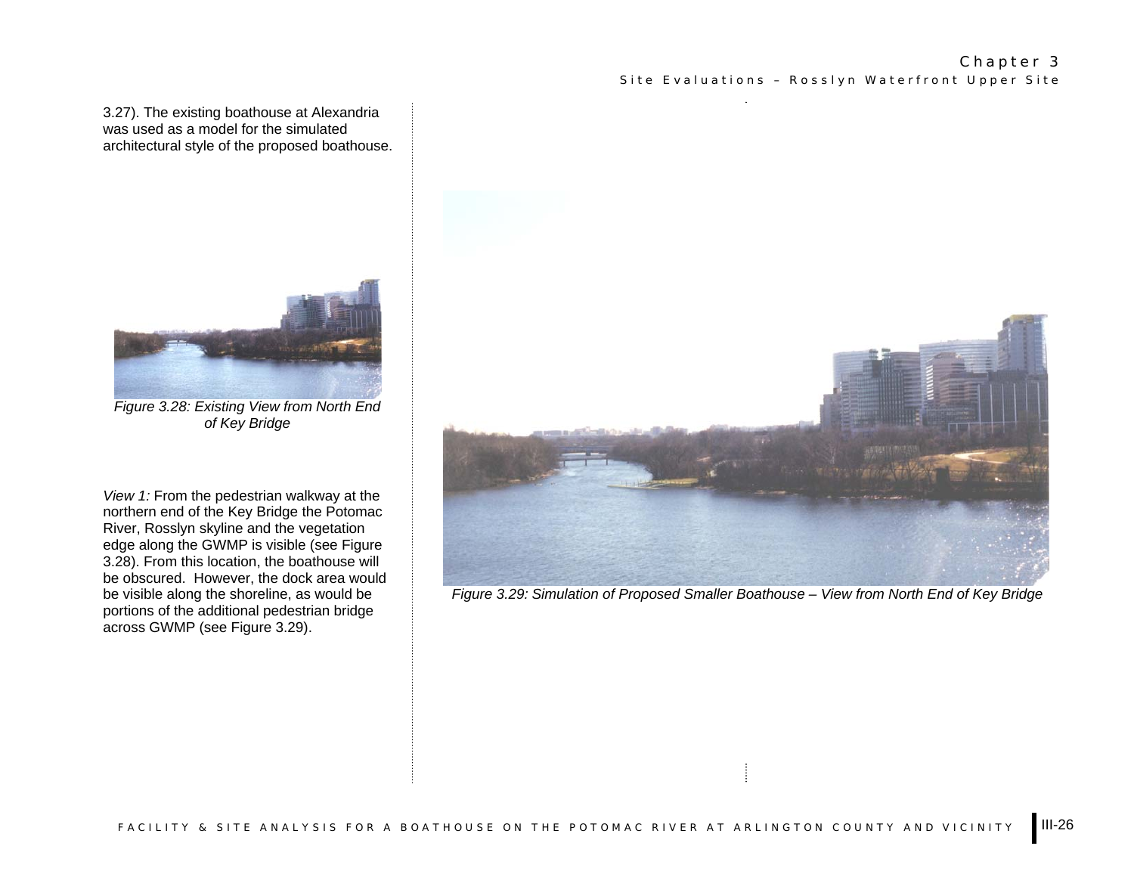3.27). The existing boathouse at Alexandria was used as a model for the simulated architectural style of the proposed boathouse.

![](_page_7_Picture_2.jpeg)

*Figure 3.28: Existing View from North End of Key Bridge* 

*View 1:* From the pedestrian walkway at the northern end of the Key Bridge the Potomac River, Rosslyn skyline and the vegetation edge along the GWMP is visible (see Figure 3.28). From this location, the boathouse will be obscured. However, the dock area would be visible along the shoreline, as would be portions of the additional pedestrian bridge across GWMP (see Figure 3.29).

![](_page_7_Picture_5.jpeg)

*Figure 3.29: Simulation of Proposed Smaller Boathouse – View from North End of Key Bridge*